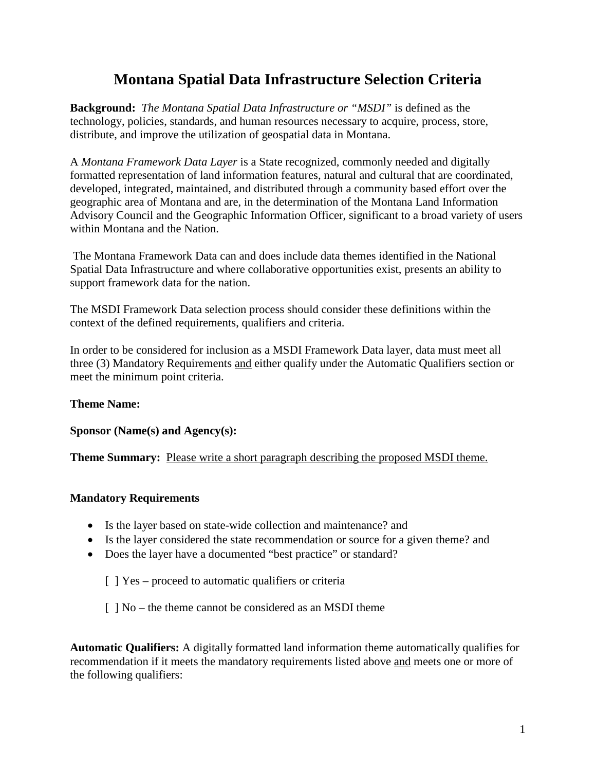## **Montana Spatial Data Infrastructure Selection Criteria**

**Background:** *The Montana Spatial Data Infrastructure or "MSDI"* is defined as the technology, policies, standards, and human resources necessary to acquire, process, store, distribute, and improve the utilization of geospatial data in Montana.

A *Montana Framework Data Layer* is a State recognized, commonly needed and digitally formatted representation of land information features, natural and cultural that are coordinated, developed, integrated, maintained, and distributed through a community based effort over the geographic area of Montana and are, in the determination of the Montana Land Information Advisory Council and the Geographic Information Officer, significant to a broad variety of users within Montana and the Nation.

The Montana Framework Data can and does include data themes identified in the National Spatial Data Infrastructure and where collaborative opportunities exist, presents an ability to support framework data for the nation.

The MSDI Framework Data selection process should consider these definitions within the context of the defined requirements, qualifiers and criteria.

In order to be considered for inclusion as a MSDI Framework Data layer, data must meet all three (3) Mandatory Requirements and either qualify under the Automatic Qualifiers section or meet the minimum point criteria.

### **Theme Name:**

#### **Sponsor (Name(s) and Agency(s):**

**Theme Summary:** Please write a short paragraph describing the proposed MSDI theme.

#### **Mandatory Requirements**

- Is the layer based on state-wide collection and maintenance? and
- Is the layer considered the state recommendation or source for a given theme? and
- Does the layer have a documented "best practice" or standard?

[ ] Yes – proceed to automatic qualifiers or criteria

 $[ ]$  No – the theme cannot be considered as an MSDI theme

**Automatic Qualifiers:** A digitally formatted land information theme automatically qualifies for recommendation if it meets the mandatory requirements listed above and meets one or more of the following qualifiers: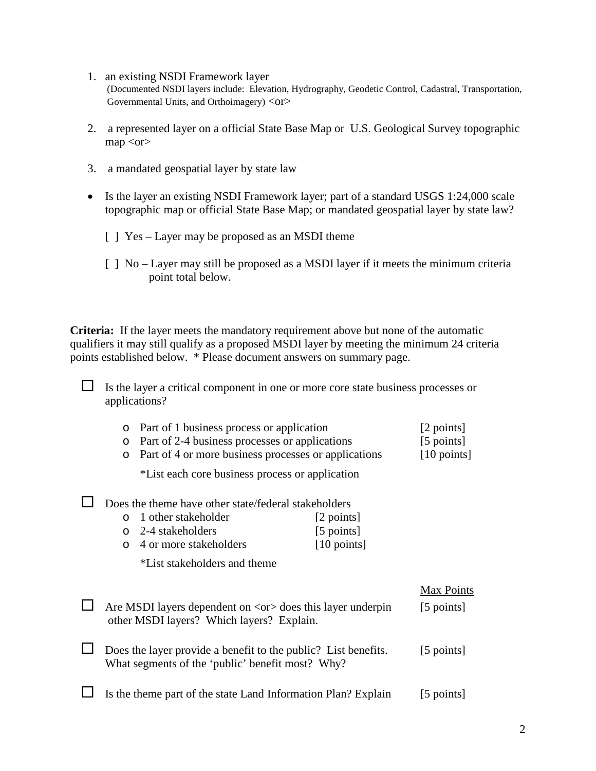- 1. an existing NSDI Framework layer (Documented NSDI layers include: Elevation, Hydrography, Geodetic Control, Cadastral, Transportation, Governmental Units, and Orthoimagery) <or>
- 2. a represented layer on a official State Base Map or U.S. Geological Survey topographic  $map < or >$
- 3. a mandated geospatial layer by state law
- Is the layer an existing NSDI Framework layer; part of a standard USGS 1:24,000 scale topographic map or official State Base Map; or mandated geospatial layer by state law?
	- [  $\mid$  Yes Layer may be proposed as an MSDI theme
	- [  $\parallel$  No Layer may still be proposed as a MSDI layer if it meets the minimum criteria point total below.

**Criteria:** If the layer meets the mandatory requirement above but none of the automatic qualifiers it may still qualify as a proposed MSDI layer by meeting the minimum 24 criteria points established below. \* Please document answers on summary page.

 $\Box$  Is the layer a critical component in one or more core state business processes or applications?

| $\circ$<br>$\circ$<br>$\circ$                                                                                      | Part of 1 business process or application<br>Part of 2-4 business processes or applications<br>Part of 4 or more business processes or applications<br>*List each core business process or application |                                                             | $[2 \text{ points}]$<br>$[5 \text{ points}]$<br>$[10 \text{ points}]$ |
|--------------------------------------------------------------------------------------------------------------------|--------------------------------------------------------------------------------------------------------------------------------------------------------------------------------------------------------|-------------------------------------------------------------|-----------------------------------------------------------------------|
| $\Omega$<br>$\Omega$<br>$\Omega$                                                                                   | Does the theme have other state/federal stakeholders<br>1 other stakeholder<br>2-4 stakeholders<br>4 or more stakeholders                                                                              | [2 points]<br>$[5 \text{ points}]$<br>$[10 \text{ points}]$ |                                                                       |
|                                                                                                                    | *List stakeholders and theme                                                                                                                                                                           |                                                             |                                                                       |
|                                                                                                                    | Are MSDI layers dependent on <or> does this layer underpin<br/>other MSDI layers? Which layers? Explain.</or>                                                                                          |                                                             | Max Points<br>$[5 \text{ points}]$                                    |
| Does the layer provide a benefit to the public? List benefits.<br>What segments of the 'public' benefit most? Why? |                                                                                                                                                                                                        |                                                             | $[5 \text{ points}]$                                                  |
| Is the theme part of the state Land Information Plan? Explain                                                      |                                                                                                                                                                                                        |                                                             | [5 points]                                                            |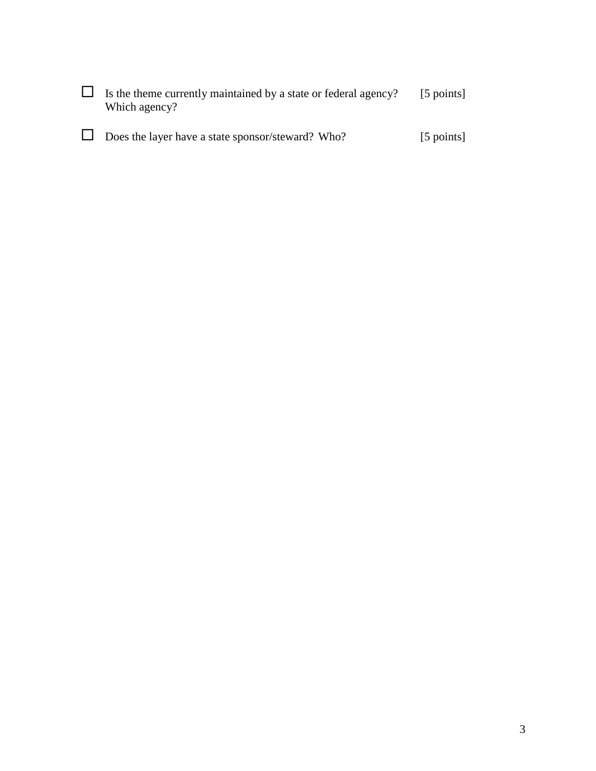| $\Box$ | Is the theme currently maintained by a state or federal agency?<br>Which agency? | $[5 \text{ points}]$ |
|--------|----------------------------------------------------------------------------------|----------------------|
| $\Box$ | Does the layer have a state sponsor/steward? Who?                                | $[5 \text{ points}]$ |